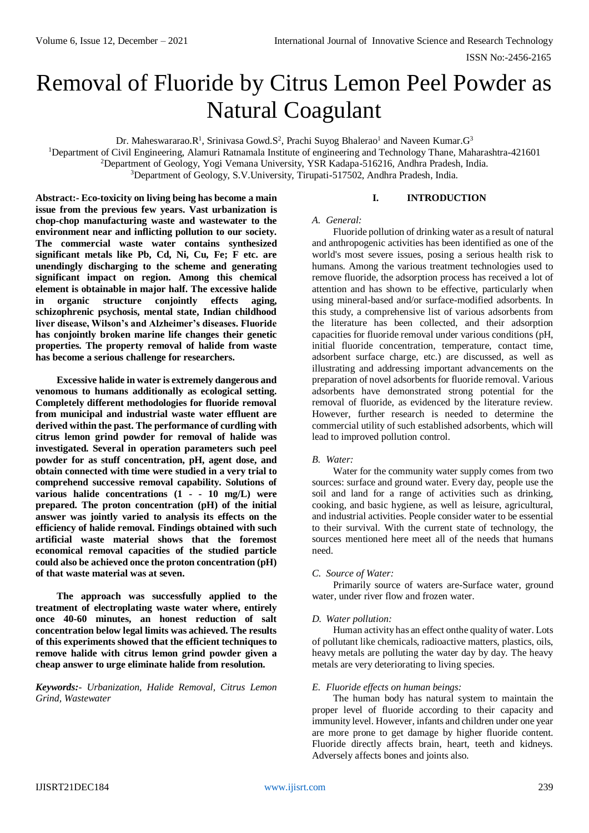# Removal of Fluoride by Citrus Lemon Peel Powder as Natural Coagulant

Dr. Maheswararao.R<sup>1</sup>, Srinivasa Gowd.S<sup>2</sup>, Prachi Suyog Bhalerao<sup>1</sup> and Naveen Kumar.G<sup>3</sup>

<sup>1</sup>Department of Civil Engineering, Alamuri Ratnamala Institute of engineering and Technology Thane, Maharashtra-421601

<sup>2</sup>Department of Geology, Yogi Vemana University, YSR Kadapa-516216, Andhra Pradesh, India.

<sup>3</sup>Department of Geology, S.V.University, Tirupati-517502, Andhra Pradesh, India.

**Abstract:- Eco-toxicity on living being has become a main issue from the previous few years. Vast urbanization is chop-chop manufacturing waste and wastewater to the environment near and inflicting pollution to our society. The commercial waste water contains synthesized significant metals like Pb, Cd, Ni, Cu, Fe; F etc. are unendingly discharging to the scheme and generating significant impact on region. Among this chemical element is obtainable in major half. The excessive halide in organic structure conjointly effects aging, schizophrenic psychosis, mental state, Indian childhood liver disease, Wilson's and Alzheimer's diseases. Fluoride has conjointly broken marine life changes their genetic properties. The property removal of halide from waste has become a serious challenge for researchers.**

**Excessive halide in water is extremely dangerous and venomous to humans additionally as ecological setting. Completely different methodologies for fluoride removal from municipal and industrial waste water effluent are derived within the past. The performance of curdling with citrus lemon grind powder for removal of halide was investigated. Several in operation parameters such peel powder for as stuff concentration, pH, agent dose, and obtain connected with time were studied in a very trial to comprehend successive removal capability. Solutions of various halide concentrations (1 - - 10 mg/L) were prepared. The proton concentration (pH) of the initial answer was jointly varied to analysis its effects on the efficiency of halide removal. Findings obtained with such artificial waste material shows that the foremost economical removal capacities of the studied particle could also be achieved once the proton concentration (pH) of that waste material was at seven.**

**The approach was successfully applied to the treatment of electroplating waste water where, entirely once 40-60 minutes, an honest reduction of salt concentration below legal limits was achieved. The results of this experiments showed that the efficient techniques to remove halide with citrus lemon grind powder given a cheap answer to urge eliminate halide from resolution.**

*Keywords:- Urbanization, Halide Removal, Citrus Lemon Grind, Wastewater*

## **I. INTRODUCTION**

#### *A. General:*

Fluoride pollution of drinking water as a result of natural and anthropogenic activities has been identified as one of the world's most severe issues, posing a serious health risk to humans. Among the various treatment technologies used to remove fluoride, the adsorption process has received a lot of attention and has shown to be effective, particularly when using mineral-based and/or surface-modified adsorbents. In this study, a comprehensive list of various adsorbents from the literature has been collected, and their adsorption capacities for fluoride removal under various conditions (pH, initial fluoride concentration, temperature, contact time, adsorbent surface charge, etc.) are discussed, as well as illustrating and addressing important advancements on the preparation of novel adsorbents for fluoride removal. Various adsorbents have demonstrated strong potential for the removal of fluoride, as evidenced by the literature review. However, further research is needed to determine the commercial utility of such established adsorbents, which will lead to improved pollution control.

# *B. Water:*

Water for the community water supply comes from two sources: surface and ground water. Every day, people use the soil and land for a range of activities such as drinking, cooking, and basic hygiene, as well as leisure, agricultural, and industrial activities. People consider water to be essential to their survival. With the current state of technology, the sources mentioned here meet all of the needs that humans need.

# *C. Source of Water:*

Primarily source of waters are-Surface water, ground water, under river flow and frozen water.

#### *D. Water pollution:*

Human activity has an effect onthe quality of water. Lots of pollutant like chemicals, radioactive matters, plastics, oils, heavy metals are polluting the water day by day. The heavy metals are very deteriorating to living species.

### *E. Fluoride effects on human beings:*

The human body has natural system to maintain the proper level of fluoride according to their capacity and immunity level. However, infants and children under one year are more prone to get damage by higher fluoride content. Fluoride directly affects brain, heart, teeth and kidneys. Adversely affects bones and joints also.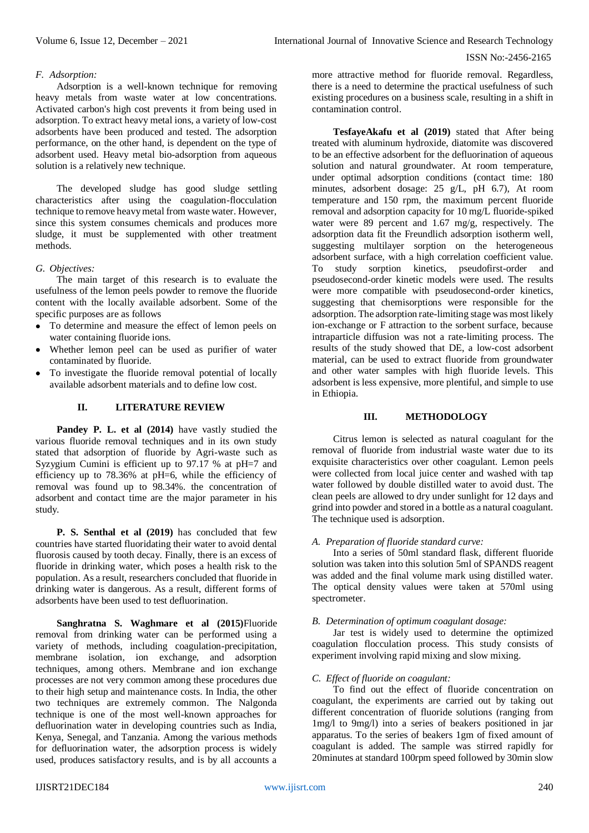#### ISSN No:-2456-2165

## *F. Adsorption:*

Adsorption is a well-known technique for removing heavy metals from waste water at low concentrations. Activated carbon's high cost prevents it from being used in adsorption. To extract heavy metal ions, a variety of low-cost adsorbents have been produced and tested. The adsorption performance, on the other hand, is dependent on the type of adsorbent used. Heavy metal bio-adsorption from aqueous solution is a relatively new technique.

The developed sludge has good sludge settling characteristics after using the coagulation-flocculation technique to remove heavy metal from waste water. However, since this system consumes chemicals and produces more sludge, it must be supplemented with other treatment methods.

### *G. Objectives:*

The main target of this research is to evaluate the usefulness of the lemon peels powder to remove the fluoride content with the locally available adsorbent. Some of the specific purposes are as follows

- To determine and measure the effect of lemon peels on water containing fluoride ions.
- Whether lemon peel can be used as purifier of water contaminated by fluoride.
- To investigate the fluoride removal potential of locally available adsorbent materials and to define low cost.

### **II. LITERATURE REVIEW**

**Pandey P. L. et al (2014)** have vastly studied the various fluoride removal techniques and in its own study stated that adsorption of fluoride by Agri-waste such as Syzygium Cumini is efficient up to 97.17 % at pH=7 and efficiency up to 78.36% at pH=6, while the efficiency of removal was found up to 98.34%. the concentration of adsorbent and contact time are the major parameter in his study.

**P. S. Senthal et al (2019)** has concluded that few countries have started fluoridating their water to avoid dental fluorosis caused by tooth decay. Finally, there is an excess of fluoride in drinking water, which poses a health risk to the population. As a result, researchers concluded that fluoride in drinking water is dangerous. As a result, different forms of adsorbents have been used to test defluorination.

**Sanghratna S. Waghmare et al (2015)**Fluoride removal from drinking water can be performed using a variety of methods, including coagulation-precipitation, membrane isolation, ion exchange, and adsorption techniques, among others. Membrane and ion exchange processes are not very common among these procedures due to their high setup and maintenance costs. In India, the other two techniques are extremely common. The Nalgonda technique is one of the most well-known approaches for defluorination water in developing countries such as India, Kenya, Senegal, and Tanzania. Among the various methods for defluorination water, the adsorption process is widely used, produces satisfactory results, and is by all accounts a

more attractive method for fluoride removal. Regardless, there is a need to determine the practical usefulness of such existing procedures on a business scale, resulting in a shift in contamination control.

**TesfayeAkafu et al (2019)** stated that After being treated with aluminum hydroxide, diatomite was discovered to be an effective adsorbent for the defluorination of aqueous solution and natural groundwater. At room temperature, under optimal adsorption conditions (contact time: 180 minutes, adsorbent dosage: 25 g/L, pH 6.7), At room temperature and 150 rpm, the maximum percent fluoride removal and adsorption capacity for 10 mg/L fluoride-spiked water were 89 percent and 1.67 mg/g, respectively. The adsorption data fit the Freundlich adsorption isotherm well, suggesting multilayer sorption on the heterogeneous adsorbent surface, with a high correlation coefficient value. To study sorption kinetics, pseudofirst-order and pseudosecond-order kinetic models were used. The results were more compatible with pseudosecond-order kinetics, suggesting that chemisorptions were responsible for the adsorption. The adsorption rate-limiting stage was most likely ion-exchange or F attraction to the sorbent surface, because intraparticle diffusion was not a rate-limiting process. The results of the study showed that DE, a low-cost adsorbent material, can be used to extract fluoride from groundwater and other water samples with high fluoride levels. This adsorbent is less expensive, more plentiful, and simple to use in Ethiopia.

#### **III. METHODOLOGY**

Citrus lemon is selected as natural coagulant for the removal of fluoride from industrial waste water due to its exquisite characteristics over other coagulant. Lemon peels were collected from local juice center and washed with tap water followed by double distilled water to avoid dust. The clean peels are allowed to dry under sunlight for 12 days and grind into powder and stored in a bottle as a natural coagulant. The technique used is adsorption.

#### *A. Preparation of fluoride standard curve:*

Into a series of 50ml standard flask, different fluoride solution was taken into this solution 5ml of SPANDS reagent was added and the final volume mark using distilled water. The optical density values were taken at 570ml using spectrometer.

## *B. Determination of optimum coagulant dosage:*

Jar test is widely used to determine the optimized coagulation flocculation process. This study consists of experiment involving rapid mixing and slow mixing.

#### *C. Effect of fluoride on coagulant:*

To find out the effect of fluoride concentration on coagulant, the experiments are carried out by taking out different concentration of fluoride solutions (ranging from 1mg/l to 9mg/l) into a series of beakers positioned in jar apparatus. To the series of beakers 1gm of fixed amount of coagulant is added. The sample was stirred rapidly for 20minutes at standard 100rpm speed followed by 30min slow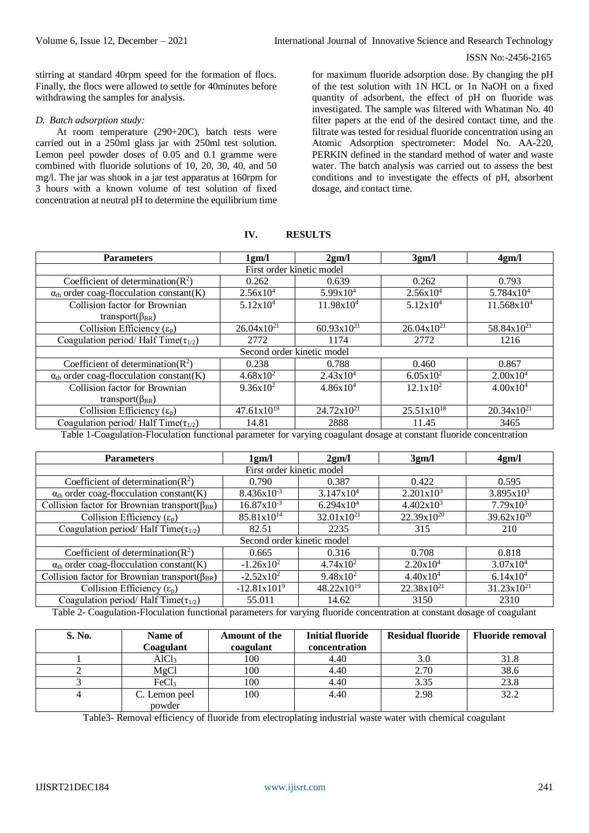#### ISSN No:-2456-2165

stirring at standard 40rpm speed for the formation of flocs. Finally, the flocs were allowed to settle for 40minutes before withdrawing the samples for analysis.

# *D. Batch adsorption study:*

At room temperature (290+20C), batch tests were carried out in a 250ml glass jar with 250ml test solution. Lemon peel powder doses of 0.05 and 0.1 gramme were combined with fluoride solutions of 10, 20, 30, 40, and 50 mg/l. The jar was shook in a jar test apparatus at 160rpm for 3 hours with a known volume of test solution of fixed concentration at neutral pH to determine the equilibrium time

for maximum fluoride adsorption dose. By changing the pH of the test solution with 1N HCL or 1n NaOH on a fixed quantity of adsorbent, the effect of pH on fluoride was investigated. The sample was filtered with Whatman No. 40 filter papers at the end of the desired contact time, and the filtrate was tested for residual fluoride concentration using an Atomic Adsorption spectrometer: Model No. AA-220, PERKIN defined in the standard method of water and waste water. The batch analysis was carried out to assess the best conditions and to investigate the effects of pH, absorbent dosage, and contact time.

| <b>Parameters</b>                                        | 1gm/l                | 2gm/l                  | 3gm/l                | 4gm/l                  |  |  |  |
|----------------------------------------------------------|----------------------|------------------------|----------------------|------------------------|--|--|--|
| First order kinetic model                                |                      |                        |                      |                        |  |  |  |
| Coefficient of determination( $R^2$ )                    | 0.262                | 0.639                  | 0.262                | 0.793                  |  |  |  |
| $\alpha_{\text{th}}$ order coag-flocculation constant(K) | $2.56x10^{4}$        | $5.99x10^{4}$          | 2.56x10 <sup>4</sup> | 5.784x104              |  |  |  |
| Collision factor for Brownian                            | 5.12x10 <sup>4</sup> | $11.98x10^4$           | 5.12x10 <sup>4</sup> | 11.568x10 <sup>4</sup> |  |  |  |
| transport( $\beta_{BR}$ )                                |                      |                        |                      |                        |  |  |  |
| Collision Efficiency $(\varepsilon_p)$                   | $26.04x10^{21}$      | $60.93x10^{21}$        | $26.04x10^{21}$      | 58.84x10 <sup>21</sup> |  |  |  |
| Coagulation period/Half Time( $\tau_{1/2}$ )             | 2772                 | 1174                   | 2772                 | 1216                   |  |  |  |
| Second order kinetic model                               |                      |                        |                      |                        |  |  |  |
| Coefficient of determination( $R^2$ )                    | 0.238                | 0.788                  | 0.460                | 0.867                  |  |  |  |
| $\alpha_{\text{th}}$ order coag-flocculation constant(K) | $4.68 \times 10^{2}$ | $2.43x10^4$            | $6.05x10^{2}$        | $2.00x10^4$            |  |  |  |
| Collision factor for Brownian                            | $9.36x10^2$          | $4.86x10^{4}$          | $12.1x10^2$          | $4.00x10^4$            |  |  |  |
| transport( $\beta_{BR}$ )                                |                      |                        |                      |                        |  |  |  |
| Collision Efficiency $(\varepsilon_p)$                   | $47.61x10^{19}$      | $24.72 \times 10^{21}$ | $25.51x10^{18}$      | $20.34x10^{21}$        |  |  |  |
| Coagulation period/Half Time( $\tau_{1/2}$ )             | 14.81                | 2888                   | 11.45                | 3465                   |  |  |  |

# **IV. RESULTS**

Table 1-Coagulation-Floculation functional parameter for varying coagulant dosage at constant fluoride concentration

| <b>Parameters</b>                                                                                                            | 1gm/l                  | 2gm/l                  | 3gm/l                  | 4gm/l                  |  |  |  |
|------------------------------------------------------------------------------------------------------------------------------|------------------------|------------------------|------------------------|------------------------|--|--|--|
| First order kinetic model                                                                                                    |                        |                        |                        |                        |  |  |  |
| Coefficient of determination( $R^2$ )                                                                                        | 0.790                  | 0.387                  | 0.422                  | 0.595                  |  |  |  |
| $\alpha_{\text{th}}$ order coag-flocculation constant(K)                                                                     | $8.436x10^{-3}$        | $3.147x10^{4}$         | 2.201x10 <sup>3</sup>  | $3.895x10^{3}$         |  |  |  |
| Collision factor for Brownian transport( $\beta_{BR}$ )                                                                      | $16.87x10^{-3}$        | $6.294x10^{4}$         | 4.402x10 <sup>3</sup>  | $7.79x10^3$            |  |  |  |
| Collision Efficiency $(\varepsilon_p)$                                                                                       | 85.81x10 <sup>14</sup> | 32.01x10 <sup>21</sup> | 22.39x10 <sup>20</sup> | $39.62 \times 10^{20}$ |  |  |  |
| Coagulation period/Half Time( $\tau_{1/2}$ )                                                                                 | 82.51                  | 2235                   | 315                    | 210                    |  |  |  |
| Second order kinetic model                                                                                                   |                        |                        |                        |                        |  |  |  |
| Coefficient of determination( $R^2$ )                                                                                        | 0.665                  | 0.316                  | 0.708                  | 0.818                  |  |  |  |
| $\alpha_{\text{th}}$ order coag-flocculation constant(K)                                                                     | $-1.26x10^2$           | $4.74x10^2$            | 2.20x10 <sup>4</sup>   | 3.07x104               |  |  |  |
| Collision factor for Brownian transport( $\beta_{BR}$ )                                                                      | $-2.52x10^2$           | $9.48 \times 10^{2}$   | $4.40x10^4$            | 6.14x10 <sup>4</sup>   |  |  |  |
| Collision Efficiency $(\varepsilon_p)$                                                                                       | $-12.81x1019$          | $48.22 \times 10^{19}$ | $22.38x10^{21}$        | $31.23 \times 10^{21}$ |  |  |  |
| Coagulation period/Half Time( $\tau_{1/2}$ )                                                                                 | 55.011                 | 14.62                  | 3150                   | 2310                   |  |  |  |
| Tebla 2. Coogulation Eleculation functional perspective for versing fluoride concentration at constant desegn of ecogularity |                        |                        |                        |                        |  |  |  |

Table 2- Coagulation-Floculation functional parameters for varying fluoride concentration at constant dosage of coagulant

| S. No. | Name of<br>Coagulant | <b>Amount of the</b><br>coagulant | <b>Initial fluoride</b><br>concentration | <b>Residual fluoride</b> | <b>Fluoride removal</b> |
|--------|----------------------|-----------------------------------|------------------------------------------|--------------------------|-------------------------|
|        | AlCl <sub>3</sub>    | 100                               | 4.40                                     | 3.0                      | 31.8                    |
|        | MgCl                 | 100                               | 4.40                                     | 2.70                     | 38.6                    |
|        | FeCl <sub>3</sub>    | 100                               | 4.40                                     | 3.35                     | 23.8                    |
|        | C. Lemon peel        | 100                               | 4.40                                     | 2.98                     | 32.2                    |
|        | powder               |                                   |                                          |                          |                         |

Table3- Removal efficiency of fluoride from electroplating industrial waste water with chemical coagulant